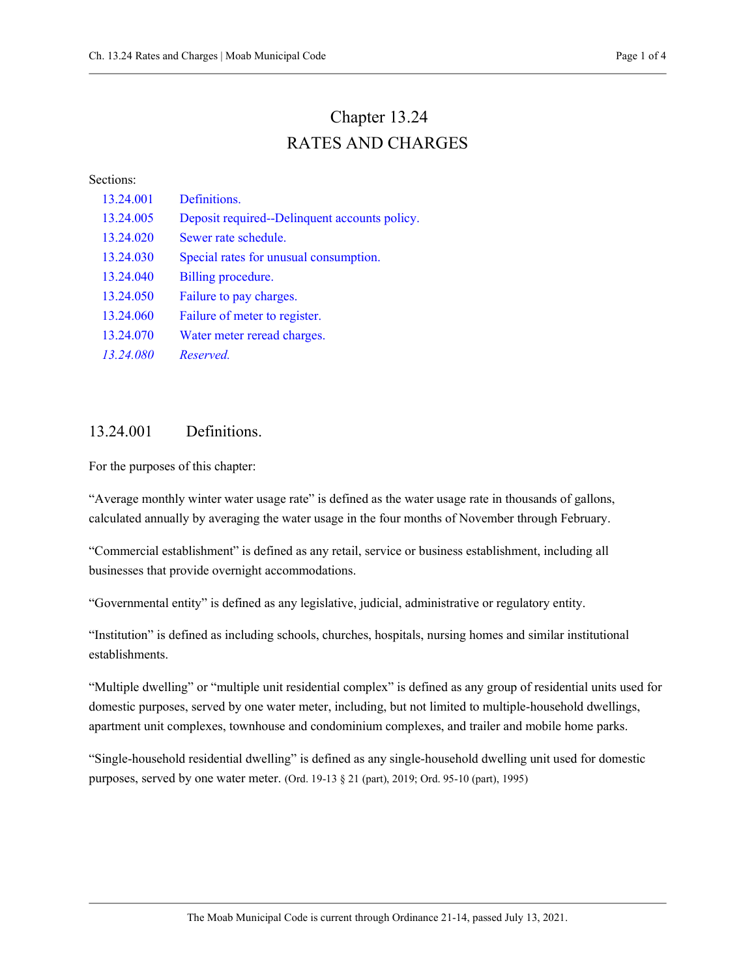# Chapter 13.24 RATES AND CHARGES

#### Sections:

| 13.24.001 | Definitions.                                  |
|-----------|-----------------------------------------------|
| 13.24.005 | Deposit required--Delinquent accounts policy. |
| 13.24.020 | Sewer rate schedule.                          |
| 13.24.030 | Special rates for unusual consumption.        |
| 13.24.040 | Billing procedure.                            |
| 13.24.050 | Failure to pay charges.                       |
| 13.24.060 | Failure of meter to register.                 |
| 13.24.070 | Water meter reread charges.                   |
| 13.24.080 | Reserved.                                     |

#### 13.24.001 Definitions.

For the purposes of this chapter:

"Average monthly winter water usage rate" is defined as the water usage rate in thousands of gallons, calculated annually by averaging the water usage in the four months of November through February.

"Commercial establishment" is defined as any retail, service or business establishment, including all businesses that provide overnight accommodations.

"Governmental entity" is defined as any legislative, judicial, administrative or regulatory entity.

"Institution" is defined as including schools, churches, hospitals, nursing homes and similar institutional establishments.

"Multiple dwelling" or "multiple unit residential complex" is defined as any group of residential units used for domestic purposes, served by one water meter, including, but not limited to multiple-household dwellings, apartment unit complexes, townhouse and condominium complexes, and trailer and mobile home parks.

"Single-household residential dwelling" is defined as any single-household dwelling unit used for domestic purposes, served by one water meter. (Ord. 19-13 § 21 (part), 2019; Ord. 95-10 (part), 1995)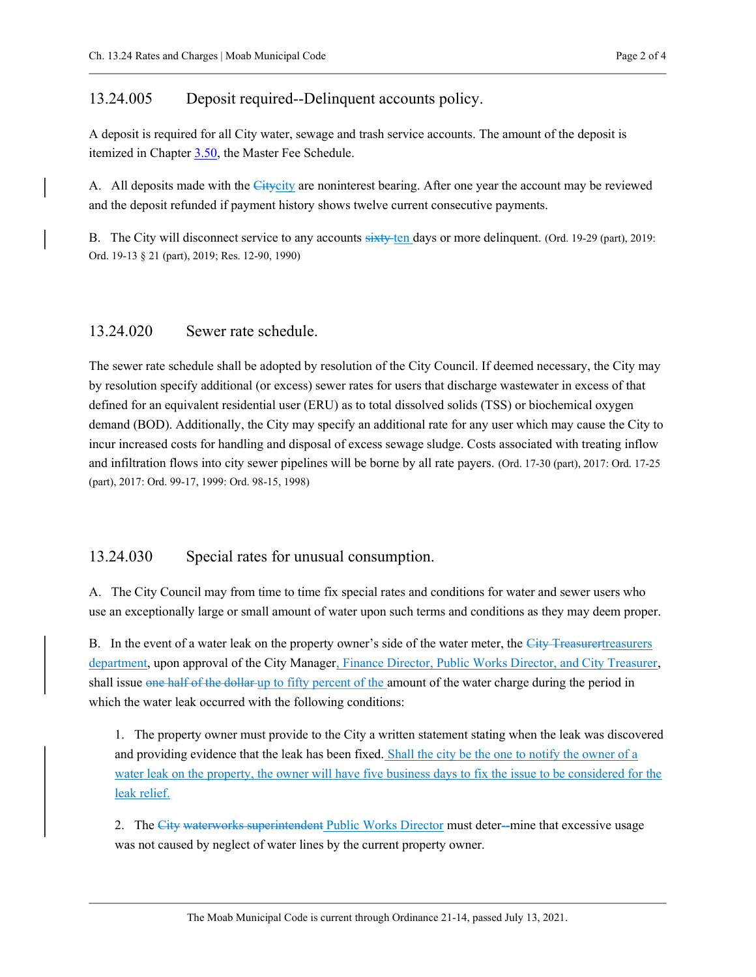#### 13.24.005 Deposit required--Delinquent accounts policy.

A deposit is required for all City water, sewage and trash service accounts. The amount of the deposit is itemized in Chapter 3.50, the Master Fee Schedule.

A. All deposits made with the Citycity are noninterest bearing. After one year the account may be reviewed and the deposit refunded if payment history shows twelve current consecutive payments.

B. The City will disconnect service to any accounts sixty ten days or more delinquent. (Ord. 19-29 (part), 2019: Ord. 19-13 § 21 (part), 2019; Res. 12-90, 1990)

### 13.24.020 Sewer rate schedule.

The sewer rate schedule shall be adopted by resolution of the City Council. If deemed necessary, the City may by resolution specify additional (or excess) sewer rates for users that discharge wastewater in excess of that defined for an equivalent residential user (ERU) as to total dissolved solids (TSS) or biochemical oxygen demand (BOD). Additionally, the City may specify an additional rate for any user which may cause the City to incur increased costs for handling and disposal of excess sewage sludge. Costs associated with treating inflow and infiltration flows into city sewer pipelines will be borne by all rate payers. (Ord. 17-30 (part), 2017: Ord. 17-25 (part), 2017: Ord. 99-17, 1999: Ord. 98-15, 1998)

## 13.24.030 Special rates for unusual consumption.

A. The City Council may from time to time fix special rates and conditions for water and sewer users who use an exceptionally large or small amount of water upon such terms and conditions as they may deem proper.

B. In the event of a water leak on the property owner's side of the water meter, the City Treasurertreasurers department, upon approval of the City Manager, Finance Director, Public Works Director, and City Treasurer, shall issue one half of the dollar-up to fifty percent of the amount of the water charge during the period in which the water leak occurred with the following conditions:

1. The property owner must provide to the City a written statement stating when the leak was discovered and providing evidence that the leak has been fixed. Shall the city be the one to notify the owner of a water leak on the property, the owner will have five business days to fix the issue to be considered for the leak relief.

2. The City waterworks superintendent Public Works Director must deter--mine that excessive usage was not caused by neglect of water lines by the current property owner.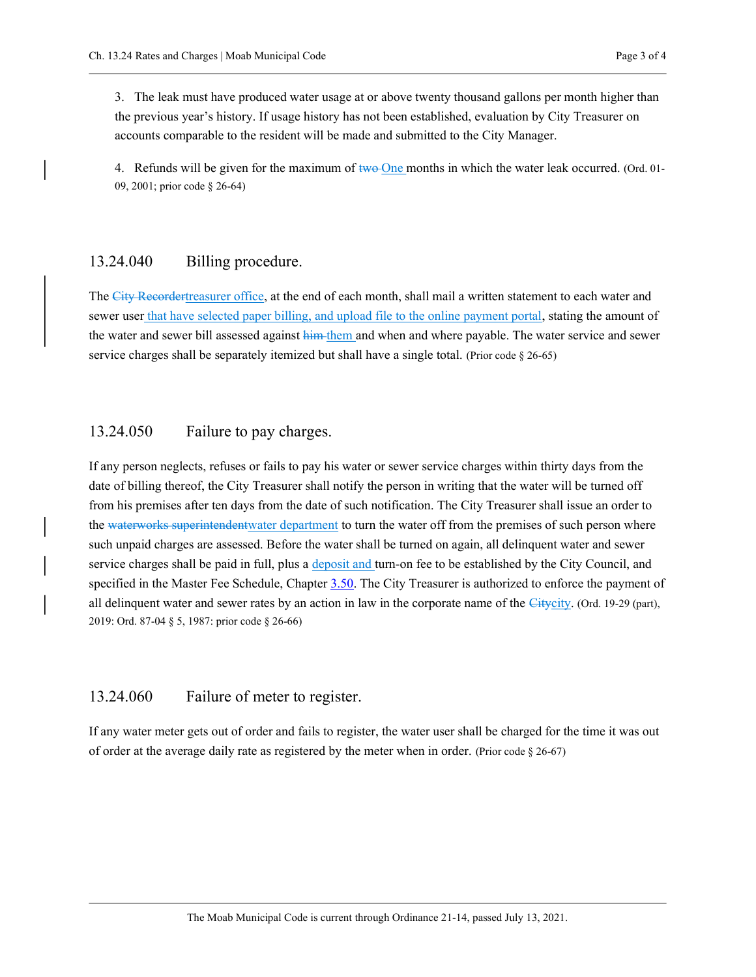3. The leak must have produced water usage at or above twenty thousand gallons per month higher than the previous year's history. If usage history has not been established, evaluation by City Treasurer on accounts comparable to the resident will be made and submitted to the City Manager.

4. Refunds will be given for the maximum of two One months in which the water leak occurred. (Ord. 01-09, 2001; prior code § 26-64)

#### 13.24.040 Billing procedure.

The City Recordert reasurer office, at the end of each month, shall mail a written statement to each water and sewer user that have selected paper billing, and upload file to the online payment portal, stating the amount of the water and sewer bill assessed against him them and when and where payable. The water service and sewer service charges shall be separately itemized but shall have a single total. (Prior code § 26-65)

#### 13.24.050 Failure to pay charges.

If any person neglects, refuses or fails to pay his water or sewer service charges within thirty days from the date of billing thereof, the City Treasurer shall notify the person in writing that the water will be turned off from his premises after ten days from the date of such notification. The City Treasurer shall issue an order to the waterworks superintendentwater department to turn the water off from the premises of such person where such unpaid charges are assessed. Before the water shall be turned on again, all delinquent water and sewer service charges shall be paid in full, plus a deposit and turn-on fee to be established by the City Council, and specified in the Master Fee Schedule, Chapter 3.50. The City Treasurer is authorized to enforce the payment of all delinquent water and sewer rates by an action in law in the corporate name of the Citycity. (Ord. 19-29 (part), 2019: Ord. 87-04 § 5, 1987: prior code § 26-66)

#### 13.24.060 Failure of meter to register.

If any water meter gets out of order and fails to register, the water user shall be charged for the time it was out of order at the average daily rate as registered by the meter when in order. (Prior code § 26-67)